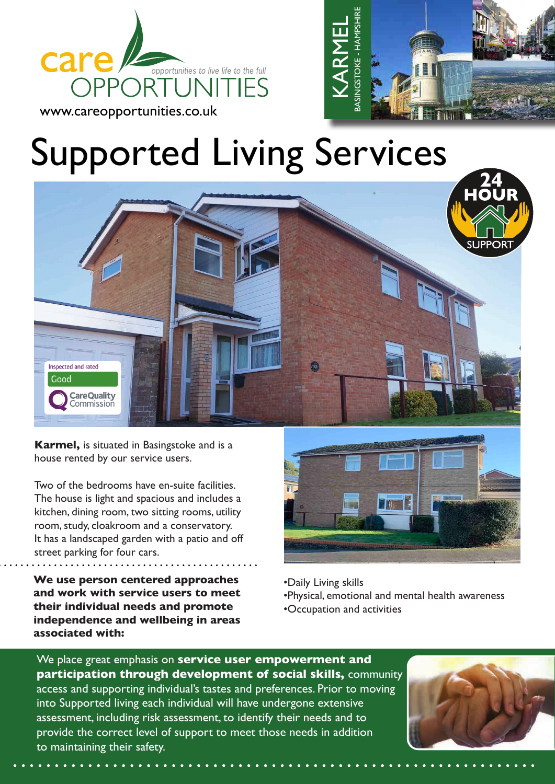





**Karmel,** is situated in Basingstoke and is a house rented by our service users.

Two of the bedrooms have en-suite facilities. The house is light and spacious and includes a kitchen, dining room, two sitting rooms, utility room, study, cloakroom and a conservatory. It has a landscaped garden with a patio and off street parking for four cars.

**We use person centered approaches and work with service users to meet their individual needs and promote independence and wellbeing in areas associated with:**



- •Daily Living skills
- •Physical, emotional and mental health awareness
- •Occupation and activities

We place great emphasis on **service user empowerment and participation through development of social skills,** community access and supporting individual's tastes and preferences. Prior to moving into Supported living each individual will have undergone extensive assessment, including risk assessment, to identify their needs and to provide the correct level of support to meet those needs in addition to maintaining their safety.